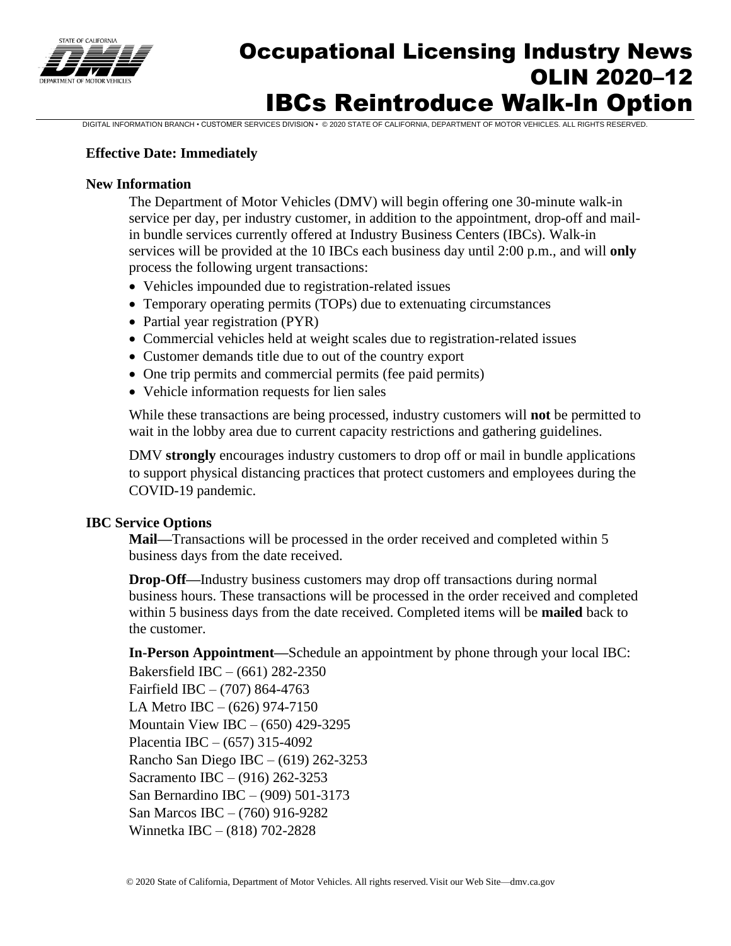

# Occupational Licensing Industry News OLIN 2020–12 IBCs Reintroduce Walk-In Option

DIGITAL INFORMATION BRANCH • CUSTOMER SERVICES DIVISION • © 2020 STATE OF CALIFORNIA, DEPARTMENT OF MOTOR VEHICLES. ALL RIGHTS RESERVED.

### **Effective Date: Immediately**

### **New Information**

The Department of Motor Vehicles (DMV) will begin offering one 30-minute walk-in service per day, per industry customer, in addition to the appointment, drop-off and mailin bundle services currently offered at Industry Business Centers (IBCs). Walk-in services will be provided at the 10 IBCs each business day until 2:00 p.m., and will **only** process the following urgent transactions:

- Vehicles impounded due to registration-related issues
- Temporary operating permits (TOPs) due to extenuating circumstances
- Partial year registration (PYR)
- Commercial vehicles held at weight scales due to registration-related issues
- Customer demands title due to out of the country export
- One trip permits and commercial permits (fee paid permits)
- Vehicle information requests for lien sales

While these transactions are being processed, industry customers will **not** be permitted to wait in the lobby area due to current capacity restrictions and gathering guidelines.

DMV **strongly** encourages industry customers to drop off or mail in bundle applications to support physical distancing practices that protect customers and employees during the COVID-19 pandemic.

### **IBC Service Options**

**Mail—**Transactions will be processed in the order received and completed within 5 business days from the date received.

**Drop-Off—**Industry business customers may drop off transactions during normal business hours. These transactions will be processed in the order received and completed within 5 business days from the date received. Completed items will be **mailed** back to the customer.

**In-Person Appointment—**Schedule an appointment by phone through your local IBC: Bakersfield IBC – (661) 282-2350

Fairfield IBC – (707) 864-4763 LA Metro IBC – (626) 974-7150 Mountain View IBC – (650) 429-3295 Placentia IBC – (657) 315-4092 Rancho San Diego IBC – (619) 262-3253 Sacramento IBC – (916) 262-3253 San Bernardino IBC – (909) 501-3173 San Marcos IBC – (760) 916-9282 Winnetka IBC – (818) 702-2828